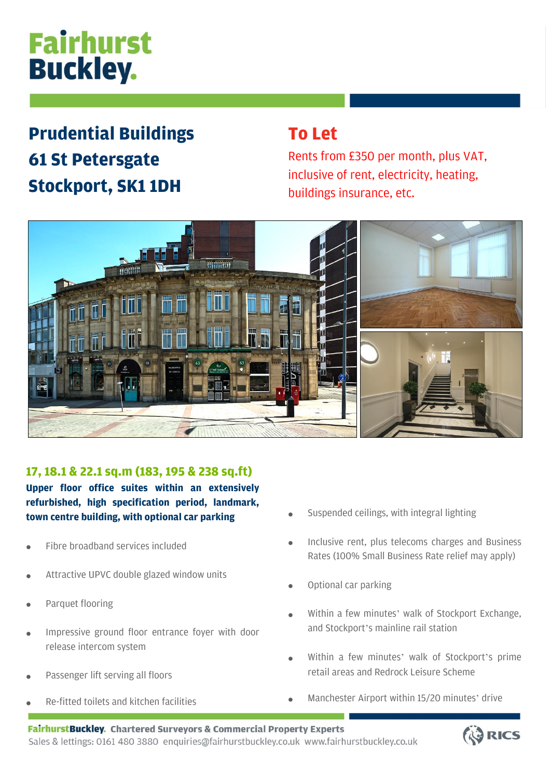# Fairhurst **Buckley.**

# **Prudential Buildings 61 St Petersgate Stockport, SK1 1DH**

## **To Let**

Rents from £350 per month, plus VAT, inclusive of rent, electricity, heating, buildings insurance, etc.



### **17, 18.1 & 22.1 sq.m (183, 195 & 238 sq.ft)**

**Upper floor office suites within an extensively refurbished, high specification period, landmark, town centre building, with optional car parking**

- Fibre broadband services included
- Attractive UPVC double glazed window units
- Parquet flooring
- Impressive ground floor entrance foyer with door release intercom system
- Passenger lift serving all floors
- Re-fitted toilets and kitchen facilities
- Suspended ceilings, with integral lighting
- Inclusive rent, plus telecoms charges and Business Rates (100% Small Business Rate relief may apply)
- Optional car parking
- Within a few minutes' walk of Stockport Exchange, and Stockport's mainline rail station
- Within a few minutes' walk of Stockport's prime retail areas and Redrock Leisure Scheme
- Manchester Airport within 15/20 minutes' drive

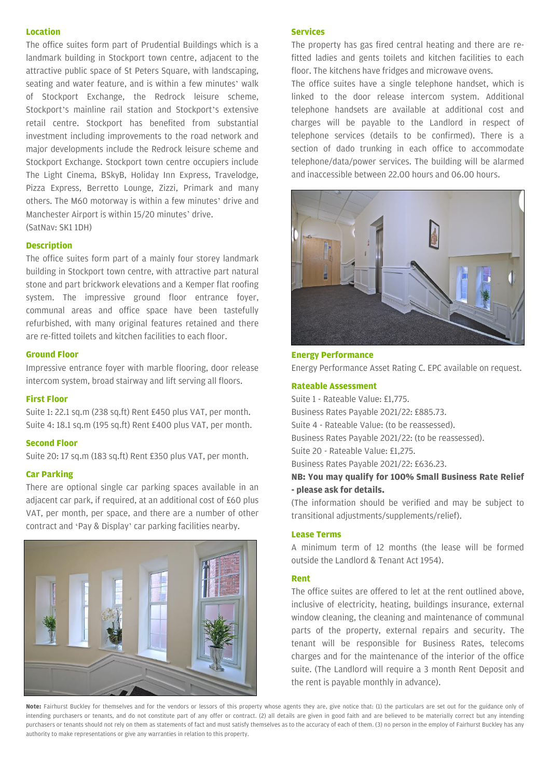#### **Location**

The office suites form part of Prudential Buildings which is a landmark building in Stockport town centre, adjacent to the attractive public space of St Peters Square, with landscaping, seating and water feature, and is within a few minutes' walk of Stockport Exchange, the Redrock leisure scheme, Stockport's mainline rail station and Stockport's extensive retail centre. Stockport has benefited from substantial investment including improvements to the road network and major developments include the Redrock leisure scheme and Stockport Exchange. Stockport town centre occupiers include The Light Cinema, BSkyB, Holiday Inn Express, Travelodge, Pizza Express, Berretto Lounge, Zizzi, Primark and many others. The M60 motorway is within a few minutes' drive and Manchester Airport is within 15/20 minutes' drive. (SatNav: SK1 1DH)

#### **Description**

The office suites form part of a mainly four storey landmark building in Stockport town centre, with attractive part natural stone and part brickwork elevations and a Kemper flat roofing system. The impressive ground floor entrance foyer, communal areas and office space have been tastefully refurbished, with many original features retained and there are re-fitted toilets and kitchen facilities to each floor.

#### **Ground Floor**

Impressive entrance foyer with marble flooring, door release intercom system, broad stairway and lift serving all floors.

#### **First Floor**

Suite 1: 22.1 sq.m (238 sq.ft) Rent £450 plus VAT, per month. Suite 4: 18.1 sq.m (195 sq.ft) Rent £400 plus VAT, per month.

#### **Second Floor**

Suite 20: 17 sq.m (183 sq.ft) Rent £350 plus VAT, per month.

#### **Car Parking**

There are optional single car parking spaces available in an adjacent car park, if required, at an additional cost of £60 plus VAT, per month, per space, and there are a number of other contract and 'Pay & Display' car parking facilities nearby.



#### **Services**

The property has gas fired central heating and there are refitted ladies and gents toilets and kitchen facilities to each floor. The kitchens have fridges and microwave ovens.

The office suites have a single telephone handset, which is linked to the door release intercom system. Additional telephone handsets are available at additional cost and charges will be payable to the Landlord in respect of telephone services (details to be confirmed). There is a section of dado trunking in each office to accommodate telephone/data/power services. The building will be alarmed and inaccessible between 22.00 hours and 06.00 hours.



#### **Energy Performance** Energy Performance Asset Rating C. EPC available on request.

#### **Rateable Assessment**

Suite 1 - Rateable Value: £1,775. Business Rates Payable 2021/22: £885.73. Suite 4 - Rateable Value: (to be reassessed). Business Rates Payable 2021/22: (to be reassessed). Suite 20 - Rateable Value: £1,275. Business Rates Payable 2021/22: £636.23. **NB: You may qualify for 100% Small Business Rate Relief**

### **- please ask for details.**

(The information should be verified and may be subject to transitional adjustments/supplements/relief).

#### **Lease Terms**

A minimum term of 12 months (the lease will be formed outside the Landlord & Tenant Act 1954).

#### **Rent**

The office suites are offered to let at the rent outlined above, inclusive of electricity, heating, buildings insurance, external window cleaning, the cleaning and maintenance of communal parts of the property, external repairs and security. The tenant will be responsible for Business Rates, telecoms charges and for the maintenance of the interior of the office suite. (The Landlord will require a 3 month Rent Deposit and the rent is payable monthly in advance).

**Note:** Fairhurst Buckley for themselves and for the vendors or lessors of this property whose agents they are, give notice that: (1) the particulars are set out for the guidance only of intending purchasers or tenants, and do not constitute part of any offer or contract. (2) all details are given in good faith and are believed to be materially correct but any intending purchasers or tenants should not rely on them as statements of fact and must satisfy themselves as to the accuracy of each of them. (3) no person in the employ of Fairhurst Buckley has any authority to make representations or give any warranties in relation to this property.